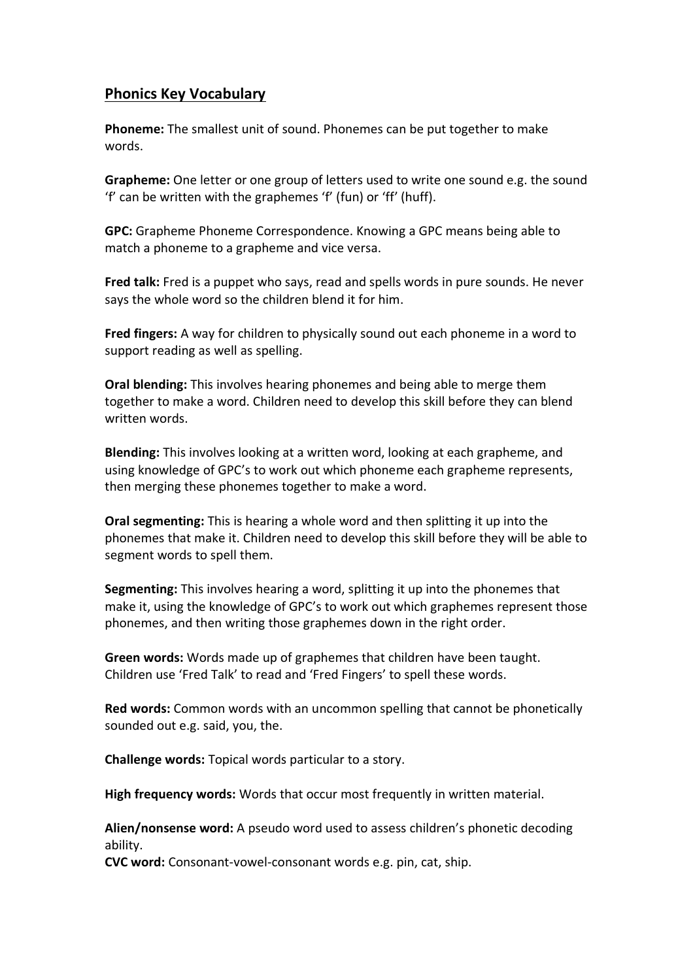## **Phonics Key Vocabulary**

**Phoneme:** The smallest unit of sound. Phonemes can be put together to make words.

**Grapheme:** One letter or one group of letters used to write one sound e.g. the sound 'f' can be written with the graphemes 'f' (fun) or 'ff' (huff).

**GPC:** Grapheme Phoneme Correspondence. Knowing a GPC means being able to match a phoneme to a grapheme and vice versa.

**Fred talk:** Fred is a puppet who says, read and spells words in pure sounds. He never says the whole word so the children blend it for him.

**Fred fingers:** A way for children to physically sound out each phoneme in a word to support reading as well as spelling.

**Oral blending:** This involves hearing phonemes and being able to merge them together to make a word. Children need to develop this skill before they can blend written words.

**Blending:** This involves looking at a written word, looking at each grapheme, and using knowledge of GPC's to work out which phoneme each grapheme represents, then merging these phonemes together to make a word.

**Oral segmenting:** This is hearing a whole word and then splitting it up into the phonemes that make it. Children need to develop this skill before they will be able to segment words to spell them.

**Segmenting:** This involves hearing a word, splitting it up into the phonemes that make it, using the knowledge of GPC's to work out which graphemes represent those phonemes, and then writing those graphemes down in the right order.

**Green words:** Words made up of graphemes that children have been taught. Children use 'Fred Talk' to read and 'Fred Fingers' to spell these words.

**Red words:** Common words with an uncommon spelling that cannot be phonetically sounded out e.g. said, you, the.

**Challenge words:** Topical words particular to a story.

**High frequency words:** Words that occur most frequently in written material.

**Alien/nonsense word:** A pseudo word used to assess children's phonetic decoding ability.

**CVC word:** Consonant-vowel-consonant words e.g. pin, cat, ship.